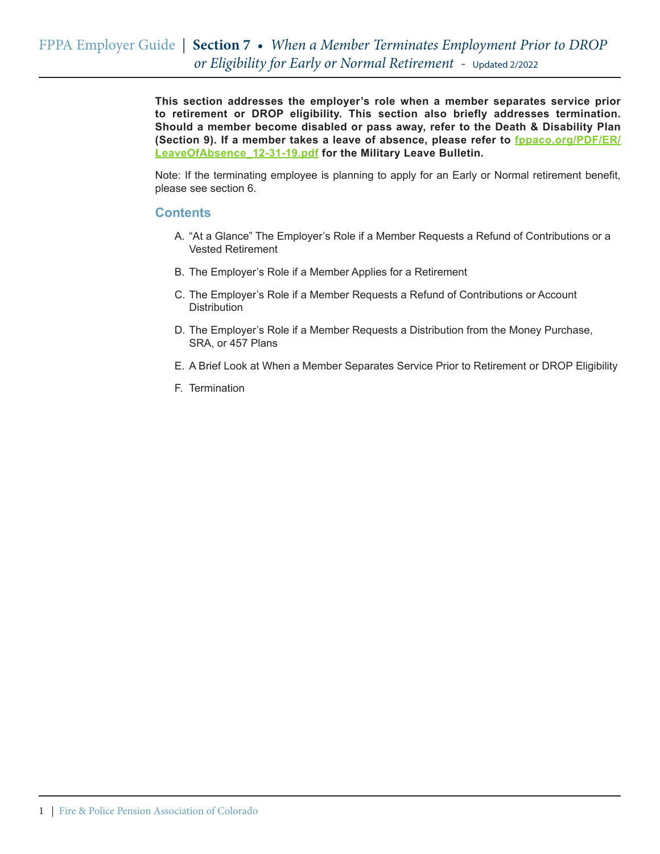**This section addresses the employer's role when a member separates service prior to retirement or DROP eligibility. This section also briefly addresses termination. Should a member become disabled or pass away, refer to the Death & Disability Plan (Section 9). If a member takes a leave of absence, please refer to fppaco.org/PDF/ER/ LeaveOfAbsence\_12-31-19.pdf for the Military Leave Bulletin.**

Note: If the terminating employee is planning to apply for an Early or Normal retirement benefit, please see section 6.

#### **Contents**

- A. "At a Glance" The Employer's Role if a Member Requests a Refund of Contributions or a Vested Retirement
- B. The Employer's Role if a Member Applies for a Retirement
- C. The Employer's Role if a Member Requests a Refund of Contributions or Account **Distribution**
- D. The Employer's Role if a Member Requests a Distribution from the Money Purchase, SRA, or 457 Plans
- E. A Brief Look at When a Member Separates Service Prior to Retirement or DROP Eligibility
- F. Termination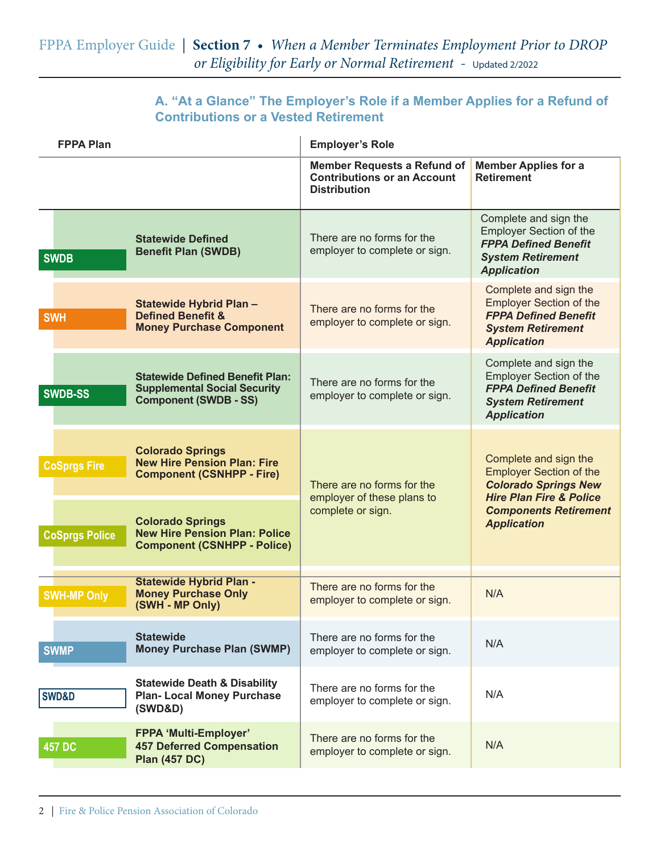## **A. "At a Glance" The Employer's Role if a Member Applies for a Refund of Contributions or a Vested Retirement**

| <b>FPPA Plan</b>    |                       |                                                                                                               | <b>Employer's Role</b>                                                                          |                                                                                                                                                                                    |
|---------------------|-----------------------|---------------------------------------------------------------------------------------------------------------|-------------------------------------------------------------------------------------------------|------------------------------------------------------------------------------------------------------------------------------------------------------------------------------------|
|                     |                       |                                                                                                               | <b>Member Requests a Refund of</b><br><b>Contributions or an Account</b><br><b>Distribution</b> | <b>Member Applies for a</b><br><b>Retirement</b>                                                                                                                                   |
| <b>SWDB</b>         |                       | <b>Statewide Defined</b><br><b>Benefit Plan (SWDB)</b>                                                        | There are no forms for the<br>employer to complete or sign.                                     | Complete and sign the<br><b>Employer Section of the</b><br><b>FPPA Defined Benefit</b><br><b>System Retirement</b><br><b>Application</b>                                           |
| <b>SWH</b>          |                       | Statewide Hybrid Plan -<br><b>Defined Benefit &amp;</b><br><b>Money Purchase Component</b>                    | There are no forms for the<br>employer to complete or sign.                                     | Complete and sign the<br><b>Employer Section of the</b><br><b>FPPA Defined Benefit</b><br><b>System Retirement</b><br><b>Application</b>                                           |
| <b>SWDB-SS</b>      |                       | <b>Statewide Defined Benefit Plan:</b><br><b>Supplemental Social Security</b><br><b>Component (SWDB - SS)</b> | There are no forms for the<br>employer to complete or sign.                                     | Complete and sign the<br><b>Employer Section of the</b><br><b>FPPA Defined Benefit</b><br><b>System Retirement</b><br><b>Application</b>                                           |
| <b>CoSprgs Fire</b> |                       | <b>Colorado Springs</b><br><b>New Hire Pension Plan: Fire</b><br><b>Component (CSNHPP - Fire)</b>             | There are no forms for the<br>employer of these plans to<br>complete or sign.                   | Complete and sign the<br><b>Employer Section of the</b><br><b>Colorado Springs New</b><br><b>Hire Plan Fire &amp; Police</b><br><b>Components Retirement</b><br><b>Application</b> |
|                     | <b>CoSprgs Police</b> | <b>Colorado Springs</b><br><b>New Hire Pension Plan: Police</b><br><b>Component (CSNHPP - Police)</b>         |                                                                                                 |                                                                                                                                                                                    |
| <b>SWH-MP Only</b>  |                       | <b>Statewide Hybrid Plan -</b><br><b>Money Purchase Only</b><br>(SWH - MP Only)                               | There are no forms for the<br>employer to complete or sign.                                     | N/A                                                                                                                                                                                |
| <b>SWMP</b>         |                       | <b>Statewide</b><br><b>Money Purchase Plan (SWMP)</b>                                                         | There are no forms for the<br>employer to complete or sign.                                     | N/A                                                                                                                                                                                |
| <b>SWD&amp;D</b>    |                       | <b>Statewide Death &amp; Disability</b><br><b>Plan-Local Money Purchase</b><br>(SWD&D)                        | There are no forms for the<br>employer to complete or sign.                                     | N/A                                                                                                                                                                                |
| <b>457 DC</b>       |                       | <b>FPPA 'Multi-Employer'</b><br><b>457 Deferred Compensation</b><br><b>Plan (457 DC)</b>                      | There are no forms for the<br>employer to complete or sign.                                     | N/A                                                                                                                                                                                |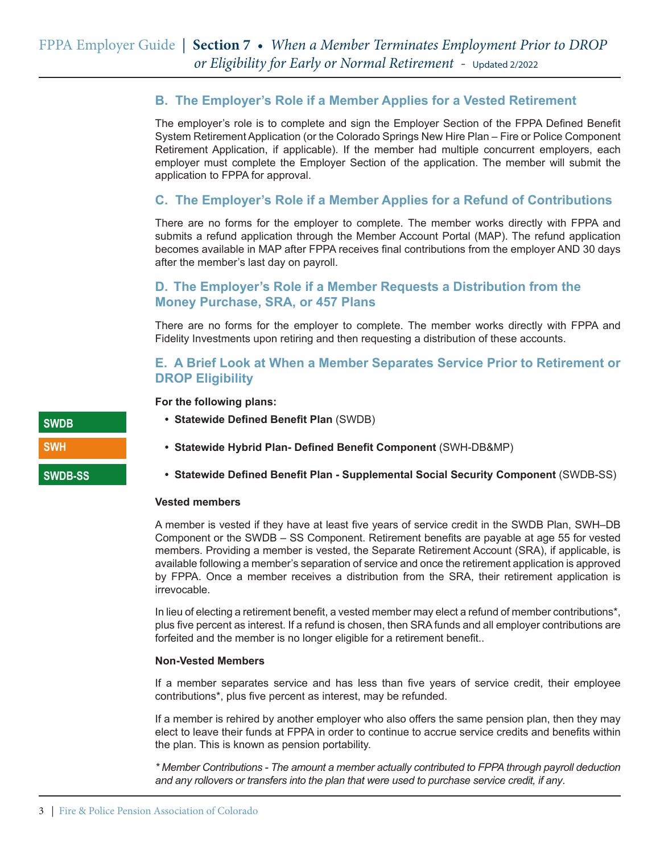## **B. The Employer's Role if a Member Applies for a Vested Retirement**

The employer's role is to complete and sign the Employer Section of the FPPA Defined Benefit System Retirement Application (or the Colorado Springs New Hire Plan – Fire or Police Component Retirement Application, if applicable). If the member had multiple concurrent employers, each employer must complete the Employer Section of the application. The member will submit the application to FPPA for approval.

## **C. The Employer's Role if a Member Applies for a Refund of Contributions**

There are no forms for the employer to complete. The member works directly with FPPA and submits a refund application through the Member Account Portal (MAP). The refund application becomes available in MAP after FPPA receives final contributions from the employer AND 30 days after the member's last day on payroll.

## **D. The Employer's Role if a Member Requests a Distribution from the Money Purchase, SRA, or 457 Plans**

There are no forms for the employer to complete. The member works directly with FPPA and Fidelity Investments upon retiring and then requesting a distribution of these accounts.

## **E. A Brief Look at When a Member Separates Service Prior to Retirement or DROP Eligibility**

**For the following plans:**

- **• Statewide Defined Benefit Plan** (SWDB)
- **• Statewide Hybrid Plan- Defined Benefit Component** (SWH-DB&MP)
- **• Statewide Defined Benefit Plan Supplemental Social Security Component** (SWDB-SS)

#### **Vested members**

A member is vested if they have at least five years of service credit in the SWDB Plan, SWH–DB Component or the SWDB – SS Component. Retirement benefits are payable at age 55 for vested members. Providing a member is vested, the Separate Retirement Account (SRA), if applicable, is available following a member's separation of service and once the retirement application is approved by FPPA. Once a member receives a distribution from the SRA, their retirement application is irrevocable.

In lieu of electing a retirement benefit, a vested member may elect a refund of member contributions\*, plus five percent as interest. If a refund is chosen, then SRA funds and all employer contributions are forfeited and the member is no longer eligible for a retirement benefit..

#### **Non-Vested Members**

If a member separates service and has less than five years of service credit, their employee contributions\*, plus five percent as interest, may be refunded.

If a member is rehired by another employer who also offers the same pension plan, then they may elect to leave their funds at FPPA in order to continue to accrue service credits and benefits within the plan. This is known as pension portability.

*\* Member Contributions - The amount a member actually contributed to FPPA through payroll deduction and any rollovers or transfers into the plan that were used to purchase service credit, if any*.

**SWDB SWH SWDB-SS**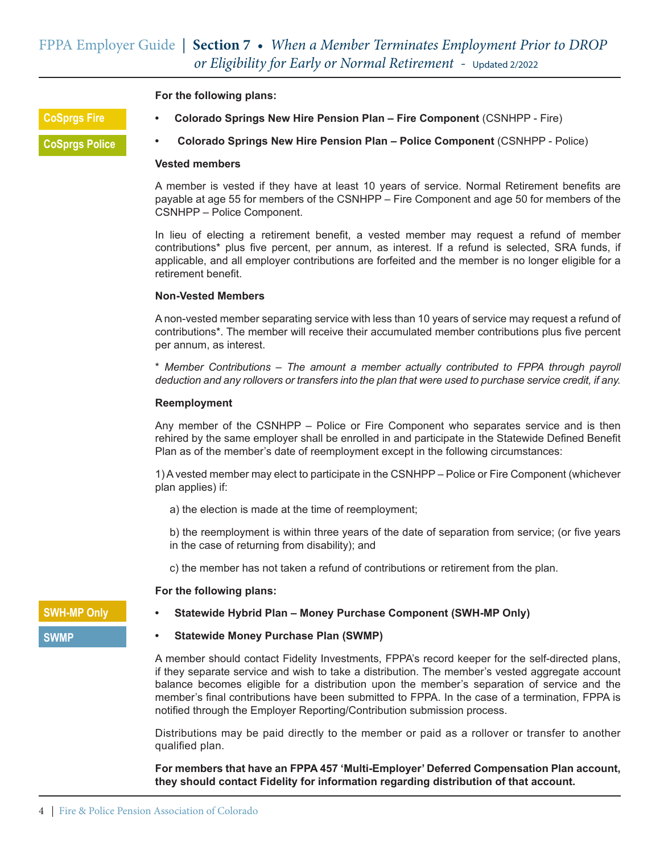**For the following plans:**

**CoSprgs Fire**

**CoSprgs Police**

**• Colorado Springs New Hire Pension Plan – Fire Component** (CSNHPP - Fire)

**• Colorado Springs New Hire Pension Plan – Police Component** (CSNHPP - Police)

#### **Vested members**

A member is vested if they have at least 10 years of service. Normal Retirement benefits are payable at age 55 for members of the CSNHPP – Fire Component and age 50 for members of the CSNHPP – Police Component.

In lieu of electing a retirement benefit, a vested member may request a refund of member contributions\* plus five percent, per annum, as interest. If a refund is selected, SRA funds, if applicable, and all employer contributions are forfeited and the member is no longer eligible for a retirement benefit.

#### **Non-Vested Members**

A non-vested member separating service with less than 10 years of service may request a refund of contributions\*. The member will receive their accumulated member contributions plus five percent per annum, as interest.

\* *Member Contributions – The amount a member actually contributed to FPPA through payroll deduction and any rollovers or transfers into the plan that were used to purchase service credit, if any.*

#### **Reemployment**

Any member of the CSNHPP – Police or Fire Component who separates service and is then rehired by the same employer shall be enrolled in and participate in the Statewide Defined Benefit Plan as of the member's date of reemployment except in the following circumstances:

1) A vested member may elect to participate in the CSNHPP – Police or Fire Component (whichever plan applies) if:

- a) the election is made at the time of reemployment;
- b) the reemployment is within three years of the date of separation from service; (or five years in the case of returning from disability); and
- c) the member has not taken a refund of contributions or retirement from the plan.

#### **For the following plans:**

# **SWH-MP Only**

#### **SWMP**

#### **• Statewide Hybrid Plan – Money Purchase Component (SWH-MP Only)**

#### **• Statewide Money Purchase Plan (SWMP)**

A member should contact Fidelity Investments, FPPA's record keeper for the self-directed plans, if they separate service and wish to take a distribution. The member's vested aggregate account balance becomes eligible for a distribution upon the member's separation of service and the member's final contributions have been submitted to FPPA. In the case of a termination, FPPA is notified through the Employer Reporting/Contribution submission process.

Distributions may be paid directly to the member or paid as a rollover or transfer to another qualified plan.

**For members that have an FPPA 457 'Multi-Employer' Deferred Compensation Plan account, they should contact Fidelity for information regarding distribution of that account.**